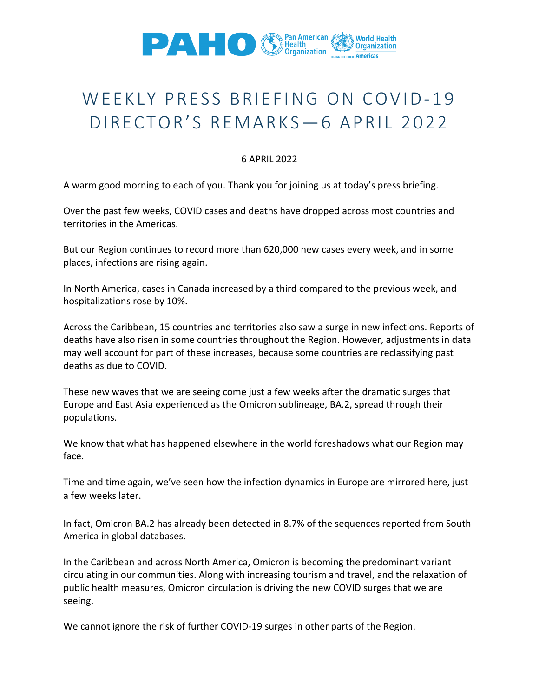

## WEEKLY PRESS BRIEFING ON COVID-19 DIRECTOR'S REMARKS— 6 APRIL 2022

## 6 APRIL 2022

A warm good morning to each of you. Thank you for joining us at today's press briefing.

Over the past few weeks, COVID cases and deaths have dropped across most countries and territories in the Americas.

But our Region continues to record more than 620,000 new cases every week, and in some places, infections are rising again.

In North America, cases in Canada increased by a third compared to the previous week, and hospitalizations rose by 10%.

Across the Caribbean, 15 countries and territories also saw a surge in new infections. Reports of deaths have also risen in some countries throughout the Region. However, adjustments in data may well account for part of these increases, because some countries are reclassifying past deaths as due to COVID.

These new waves that we are seeing come just a few weeks after the dramatic surges that Europe and East Asia experienced as the Omicron sublineage, BA.2, spread through their populations.

We know that what has happened elsewhere in the world foreshadows what our Region may face.

Time and time again, we've seen how the infection dynamics in Europe are mirrored here, just a few weeks later.

In fact, Omicron BA.2 has already been detected in 8.7% of the sequences reported from South America in global databases.

In the Caribbean and across North America, Omicron is becoming the predominant variant circulating in our communities. Along with increasing tourism and travel, and the relaxation of public health measures, Omicron circulation is driving the new COVID surges that we are seeing.

We cannot ignore the risk of further COVID-19 surges in other parts of the Region.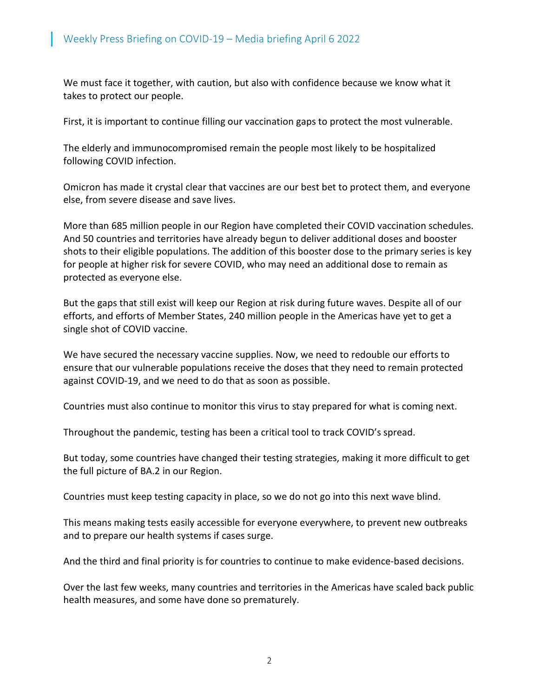We must face it together, with caution, but also with confidence because we know what it takes to protect our people.

First, it is important to continue filling our vaccination gaps to protect the most vulnerable.

The elderly and immunocompromised remain the people most likely to be hospitalized following COVID infection.

Omicron has made it crystal clear that vaccines are our best bet to protect them, and everyone else, from severe disease and save lives.

More than 685 million people in our Region have completed their COVID vaccination schedules. And 50 countries and territories have already begun to deliver additional doses and booster shots to their eligible populations. The addition of this booster dose to the primary series is key for people at higher risk for severe COVID, who may need an additional dose to remain as protected as everyone else.

But the gaps that still exist will keep our Region at risk during future waves. Despite all of our efforts, and efforts of Member States, 240 million people in the Americas have yet to get a single shot of COVID vaccine.

We have secured the necessary vaccine supplies. Now, we need to redouble our efforts to ensure that our vulnerable populations receive the doses that they need to remain protected against COVID-19, and we need to do that as soon as possible.

Countries must also continue to monitor this virus to stay prepared for what is coming next.

Throughout the pandemic, testing has been a critical tool to track COVID's spread.

But today, some countries have changed their testing strategies, making it more difficult to get the full picture of BA.2 in our Region.

Countries must keep testing capacity in place, so we do not go into this next wave blind.

This means making tests easily accessible for everyone everywhere, to prevent new outbreaks and to prepare our health systems if cases surge.

And the third and final priority is for countries to continue to make evidence-based decisions.

Over the last few weeks, many countries and territories in the Americas have scaled back public health measures, and some have done so prematurely.